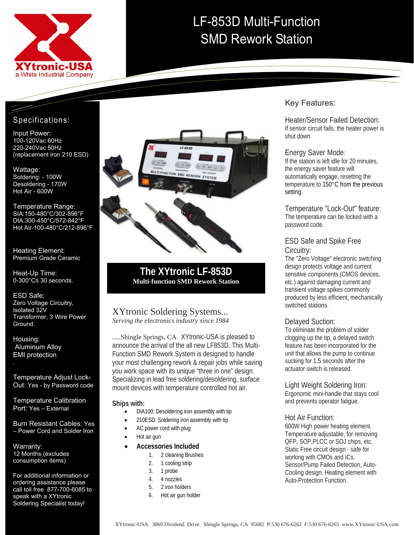

# LF-853D Multi-Function SMD Rework Station

## Specifications:

 220-240Vac 50Hz (replacement iron 210 ESD) Input Power: 100-120Vac 60Hz

Wattage: Soldering: - 100W Desoldering - 170W Hot Air - 600W

Temperature Range: SIA:150-480°C/302-896°F DIA:300-450°C/572-842°F Hot Air-100-480°C/212-896°F

Heating Element: Premium Grade Ceramic

Heat-Up Time: 0-300°C≤ 30 seconds.

ESD Safe: Zero Voltage Circuitry, Isolated 32V Transformer, 3 Wire Power Ground.

Housing: Aluminum Alloy EMI protection

Temperature Adjust Lock-Out: Yes - by Password code

Temperature Calibration Port: Yes – External

Burn Resistant Cables: Yes – Power Cord and Solder Iron

Warranty: 12 Months (excludes consumption items)

For additional information or ordering assistance please call toll free 877-700-6085 to speak with a XYtronic Soldering Specialist today!



**The XYtronic LF-853D Multi-function SMD Rework Station** 

#### XYtronic Soldering Systems... *Serving the electronics industry since 1984*

.....Shingle Springs, CA. XYtronic-USA is pleased to announce the arrival of the all new LF853D. This Multi-Function SMD Rework System is designed to handle your most challenging rework & repair jobs while saving you work space with its unique "three in one" design. Specializing in lead free soldering/desoldering, surface mount devices with temperature controlled hot air.

#### **Ships with:**

- DIA100: Desoldering iron assembly with tip
	- 210ESD: Soldering iron assembly with tip
- AC power cord with plug
- Hot air gun

#### • **Accessories Included**

- 1. 2 cleaning Brushes
- 2. 1 cooling strip
- 3. 1 probe
- 4. 4 nozzles
- 5. 2 iron holders
- 6. Hot air gun holder

## Key Features:

Heater/Sensor Failed Detection: If sensor circuit fails, the heater power is shut down.

#### Energy Saver Mode:

If the station is left idle for 20 minutes, the energy saver feature will automatically engage, resetting the temperature to 150°C from the previous setting.

Temperature "Lock-Out" feature: The temperature can be locked with a password code.

#### ESD Safe and Spike Free Circuitry:

The "Zero Voltage" electronic switching design protects voltage and current sensitive components (CMOS devices, etc.) against damaging current and transient voltage spikes commonly produced by less efficient, mechanically switched stations.

#### Delayed Suction:

To eliminate the problem of solder clogging up the tip, a delayed switch feature has been incorporated for the unit that allows the pump to continue sucking for 1.5 seconds after the actuator switch is released.

Light Weight Soldering Iron:

Ergonomic mini-handle that stays cool and prevents operator fatigue.

#### Hot Air Function:

600W High power heating element. Temperature adjustable, for removing QFP, SOP,PLCC or SOJ chips, etc. Static Free circuit design - safe for working with CMOs and ICs. Sensor/Pump Failed Detection, Auto-Cooling design. Heating element with Auto-Protection Function.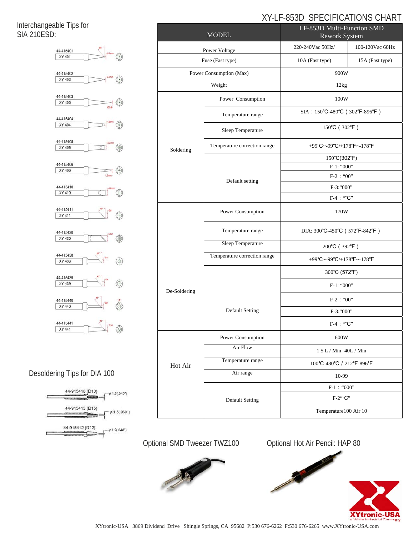# XY-LF-853D SPECIFICATIONS CHART

Interchangeable Tips for SIA 210ESD:



# Desoldering Tips for DIA 100



| <b>MODEL</b>            |                              | LF-853D Multi-Function SMD<br>Rework System |                 |
|-------------------------|------------------------------|---------------------------------------------|-----------------|
| Power Voltage           |                              | 220-240Vac 50Hz/                            | 100-120Vac 60Hz |
| Fuse (Fast type)        |                              | 10A (Fast type)                             | 15A (Fast type) |
| Power Consumption (Max) |                              | 900W                                        |                 |
| Weight                  |                              | 12kg                                        |                 |
| Soldering               | Power Consumption            | 100W                                        |                 |
|                         | Temperature range            | SIA : 150°C-480°C (302°F-896°F)             |                 |
|                         | Sleep Temperature            | 150°C (302°F)                               |                 |
|                         | Temperature correction range | +99°C~-99°C/+178°F~-178°F                   |                 |
|                         | Default setting              | 150°C(302°F)                                |                 |
|                         |                              | F-1: "000"                                  |                 |
|                         |                              | $F-2$ : "00"                                |                 |
|                         |                              | F-3:"000"                                   |                 |
|                         |                              | F-4 : "°C"                                  |                 |
|                         | Power Consumption            | 170W                                        |                 |
|                         | Temperature range            | DIA: 300°C-450°C (572°F-842°F)              |                 |
|                         | Sleep Temperature            | 200°C (392°F)                               |                 |
| De-Soldering            | Temperature correction range | +99°C~-99°C/+178°F~-178°F                   |                 |
|                         |                              | 300°C (572°F)<br>$F-1:$ "000"               |                 |
|                         |                              |                                             |                 |
|                         | <b>Default Setting</b>       | $F-2$ : "00"                                |                 |
|                         |                              | $F-3$ : "000"                               |                 |
|                         |                              | $F-4$ : "°C"                                |                 |
| Hot Air                 | Power Consumption            | 600W                                        |                 |
|                         | Air Flow                     | 1.5 L / Min -40L / Min                      |                 |
|                         | Temperature range            | 100°C-480°C / 212°F-896°F                   |                 |
|                         | Air range                    | 10-99                                       |                 |
|                         | <b>Default Setting</b>       | $F-1$ : "000"                               |                 |
|                         |                              | $F-2``C"$                                   |                 |
|                         |                              | Temperature100 Air 10                       |                 |

Optional SMD Tweezer TWZ100 Optional Hot Air Pencil: HAP 80



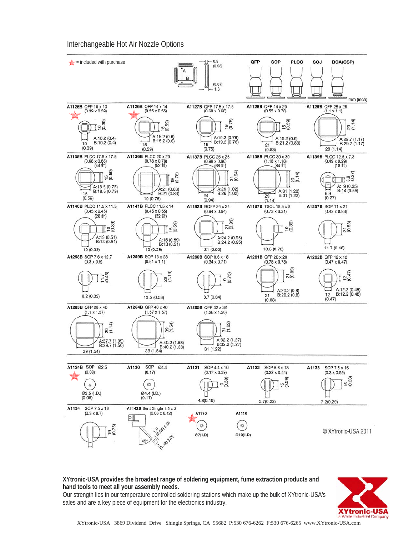Interchangeable Hot Air Nozzle Options



**XYtronic-USA provides the broadest range of soldering equipment, fume extraction products and hand tools to meet all your assembly needs.** 

Our strength lies in our temperature controlled soldering stations which make up the bulk of XYtronic-USA's sales and are a key piece of equipment for the electronics industry.